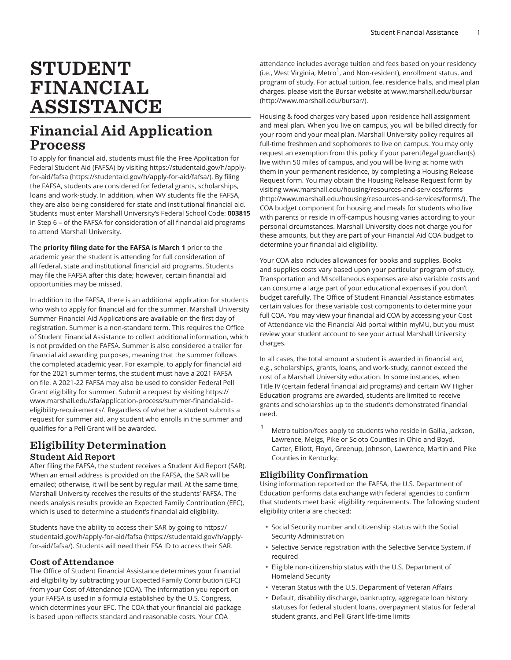# STUDENT FINANCIAL ASSISTANCE

# Financial Aid Application Process

To apply for financial aid, students must file the Free Application for Federal Student Aid (FAFSA) by visiting [https://studentaid.gov/h/apply](https://studentaid.gov/h/apply-for-aid/fafsa/)[for-aid/fafsa \(https://studentaid.gov/h/apply-for-aid/fafsa/](https://studentaid.gov/h/apply-for-aid/fafsa/)). By filing the FAFSA, students are considered for federal grants, scholarships, loans and work-study. In addition, when WV students file the FAFSA, they are also being considered for state and institutional financial aid. Students must enter Marshall University's Federal School Code: **003815** in Step 6 – of the FAFSA for consideration of all financial aid programs to attend Marshall University.

The **priority filing date for the FAFSA is March 1** prior to the academic year the student is attending for full consideration of all federal, state and institutional financial aid programs. Students may file the FAFSA after this date; however, certain financial aid opportunities may be missed.

In addition to the FAFSA, there is an additional application for students who wish to apply for financial aid for the summer. Marshall University Summer Financial Aid Applications are available on the first day of registration. Summer is a non-standard term. This requires the Office of Student Financial Assistance to collect additional information, which is not provided on the FAFSA. Summer is also considered a trailer for financial aid awarding purposes, meaning that the summer follows the completed academic year. For example, to apply for financial aid for the 2021 summer terms, the student must have a 2021 FAFSA on file. A 2021-22 FAFSA may also be used to consider Federal Pell Grant eligibility for summer. Submit a request by visiting [https://](https://www.marshall.edu/sfa/application-process/summer-financial-aid-eligibility-requirements/) [www.marshall.edu/sfa/application-process/summer-financial-aid](https://www.marshall.edu/sfa/application-process/summer-financial-aid-eligibility-requirements/)[eligibility-requirements/.](https://www.marshall.edu/sfa/application-process/summer-financial-aid-eligibility-requirements/) Regardless of whether a student submits a request for summer aid, any student who enrolls in the summer and qualifies for a Pell Grant will be awarded.

# Eligibility Determination

### Student Aid Report

After filing the FAFSA, the student receives a Student Aid Report (SAR). When an email address is provided on the FAFSA, the SAR will be emailed; otherwise, it will be sent by regular mail. At the same time, Marshall University receives the results of the students' FAFSA. The needs analysis results provide an Expected Family Contribution (EFC), which is used to determine a student's financial aid eligibility.

Students have the ability to access their SAR by going to [https://](https://studentaid.gov/h/apply-for-aid/fafsa/) [studentaid.gov/h/apply-for-aid/fafsa \(https://studentaid.gov/h/apply](https://studentaid.gov/h/apply-for-aid/fafsa/)[for-aid/fafsa/\)](https://studentaid.gov/h/apply-for-aid/fafsa/). Students will need their FSA ID to access their SAR.

#### Cost of Attendance

The Office of Student Financial Assistance determines your financial aid eligibility by subtracting your Expected Family Contribution (EFC) from your Cost of Attendance (COA). The information you report on your FAFSA is used in a formula established by the U.S. Congress, which determines your EFC. The COA that your financial aid package is based upon reflects standard and reasonable costs. Your COA

attendance includes average tuition and fees based on your residency (i.e., West Virginia, Metro $^1$ , and Non-resident), enrollment status, and program of study. For actual tuition, fee, residence halls, and meal plan charges. please visit the Bursar website at [www.marshall.edu/bursar](http://www.marshall.edu/bursar/) ([http://www.marshall.edu/bursar/\)](http://www.marshall.edu/bursar/).

Housing & food charges vary based upon residence hall assignment and meal plan. When you live on campus, you will be billed directly for your room and your meal plan. Marshall University policy requires all full-time freshmen and sophomores to live on campus. You may only request an exemption from this policy if your parent/legal guardian(s) live within 50 miles of campus, and you will be living at home with them in your permanent residence, by completing a Housing Release Request form. You may obtain the Housing Release Request form by visiting [www.marshall.edu/housing/resources-and-services/forms](http://www.marshall.edu/housing/resources-and-services/forms/) (<http://www.marshall.edu/housing/resources-and-services/forms/>). The COA budget component for housing and meals for students who live with parents or reside in off-campus housing varies according to your personal circumstances. Marshall University does not charge you for these amounts, but they are part of your Financial Aid COA budget to determine your financial aid eligibility.

Your COA also includes allowances for books and supplies. Books and supplies costs vary based upon your particular program of study. Transportation and Miscellaneous expenses are also variable costs and can consume a large part of your educational expenses if you don't budget carefully. The Office of Student Financial Assistance estimates certain values for these variable cost components to determine your full COA. You may view your financial aid COA by accessing your Cost of Attendance via the Financial Aid portal within myMU, but you must review your student account to see your actual Marshall University charges.

In all cases, the total amount a student is awarded in financial aid, e.g., scholarships, grants, loans, and work-study, cannot exceed the cost of a Marshall University education. In some instances, when Title IV (certain federal financial aid programs) and certain WV Higher Education programs are awarded, students are limited to receive grants and scholarships up to the student's demonstrated financial need.

Metro tuition/fees apply to students who reside in Gallia, Jackson, Lawrence, Meigs, Pike or Scioto Counties in Ohio and Boyd, Carter, Elliott, Floyd, Greenup, Johnson, Lawrence, Martin and Pike Counties in Kentucky.

### Eligibility Confirmation

Using information reported on the FAFSA, the U.S. Department of Education performs data exchange with federal agencies to confirm that students meet basic eligibility requirements. The following student eligibility criteria are checked:

- Social Security number and citizenship status with the Social Security Administration
- Selective Service registration with the Selective Service System, if required
- Eligible non-citizenship status with the U.S. Department of Homeland Security
- Veteran Status with the U.S. Department of Veteran Affairs
- Default, disability discharge, bankruptcy, aggregate loan history statuses for federal student loans, overpayment status for federal student grants, and Pell Grant life-time limits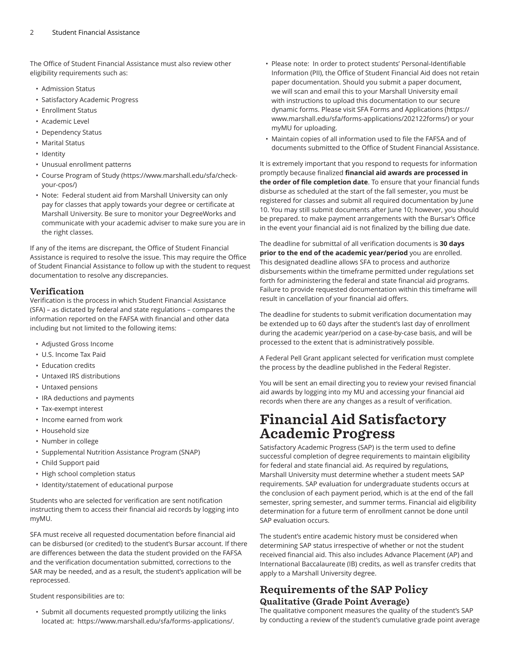The Office of Student Financial Assistance must also review other eligibility requirements such as:

- Admission Status
- Satisfactory Academic Progress
- Enrollment Status
- Academic Level
- Dependency Status
- Marital Status
- Identity
- Unusual enrollment patterns
- Course Program of Study ([https://www.marshall.edu/sfa/check](https://www.marshall.edu/sfa/check-your-cpos/)[your-cpos/\)](https://www.marshall.edu/sfa/check-your-cpos/)
- Note: Federal student aid from Marshall University can only pay for classes that apply towards your degree or certificate at Marshall University. Be sure to monitor your DegreeWorks and communicate with your academic adviser to make sure you are in the right classes.

If any of the items are discrepant, the Office of Student Financial Assistance is required to resolve the issue. This may require the Office of Student Financial Assistance to follow up with the student to request documentation to resolve any discrepancies.

### Verification

Verification is the process in which Student Financial Assistance (SFA) – as dictated by federal and state regulations – compares the information reported on the FAFSA with financial and other data including but not limited to the following items:

- Adjusted Gross Income
- U.S. Income Tax Paid
- Education credits
- Untaxed IRS distributions
- Untaxed pensions
- IRA deductions and payments
- Tax-exempt interest
- Income earned from work
- Household size
- Number in college
- Supplemental Nutrition Assistance Program (SNAP)
- Child Support paid
- High school completion status
- Identity/statement of educational purpose

Students who are selected for verification are sent notification instructing them to access their financial aid records by logging into myMU.

SFA must receive all requested documentation before financial aid can be disbursed (or credited) to the student's Bursar account. If there are differences between the data the student provided on the FAFSA and the verification documentation submitted, corrections to the SAR may be needed, and as a result, the student's application will be reprocessed.

Student responsibilities are to:

• Submit all documents requested promptly utilizing the links located at: [https://www.marshall.edu/sfa/forms-applications/.](https://www.marshall.edu/sfa/forms-applications/)

- Please note: In order to protect students' Personal-Identifiable Information (PII), the Office of Student Financial Aid does not retain paper documentation. Should you submit a paper document, we will scan and email this to your Marshall University email with instructions to upload this documentation to our secure dynamic forms. Please visit SFA Forms and [Applications](https://www.marshall.edu/sfa/forms-applications/202122forms/) [\(https://](https://www.marshall.edu/sfa/forms-applications/202122forms/) [www.marshall.edu/sfa/forms-applications/202122forms/](https://www.marshall.edu/sfa/forms-applications/202122forms/)) or your myMU for uploading.
- Maintain copies of all information used to file the FAFSA and of documents submitted to the Office of Student Financial Assistance.

It is extremely important that you respond to requests for information promptly because finalized **financial aid awards are processed in the order of file completion date**. To ensure that your financial funds disburse as scheduled at the start of the fall semester, you must be registered for classes and submit all required documentation by June 10. You may still submit documents after June 10; however, you should be prepared. to make payment arrangements with the Bursar's Office in the event your financial aid is not finalized by the billing due date.

The deadline for submittal of all verification documents is **30 days prior to the end of the academic year/period** you are enrolled. This designated deadline allows SFA to process and authorize disbursements within the timeframe permitted under regulations set forth for administering the federal and state financial aid programs. Failure to provide requested documentation within this timeframe will result in cancellation of your financial aid offers.

The deadline for students to submit verification documentation may be extended up to 60 days after the student's last day of enrollment during the academic year/period on a case-by-case basis, and will be processed to the extent that is administratively possible.

A Federal Pell Grant applicant selected for verification must complete the process by the deadline published in the Federal Register.

You will be sent an email directing you to review your revised financial aid awards by logging into my MU and accessing your financial aid records when there are any changes as a result of verification.

# Financial Aid Satisfactory Academic Progress

Satisfactory Academic Progress (SAP) is the term used to define successful completion of degree requirements to maintain eligibility for federal and state financial aid. As required by regulations, Marshall University must determine whether a student meets SAP requirements. SAP evaluation for undergraduate students occurs at the conclusion of each payment period, which is at the end of the fall semester, spring semester, and summer terms. Financial aid eligibility determination for a future term of enrollment cannot be done until SAP evaluation occurs.

The student's entire academic history must be considered when determining SAP status irrespective of whether or not the student received financial aid. This also includes Advance Placement (AP) and International Baccalaureate (IB) credits, as well as transfer credits that apply to a Marshall University degree.

### Requirements of the SAP Policy Qualitative (Grade Point Average)

The qualitative component measures the quality of the student's SAP by conducting a review of the student's cumulative grade point average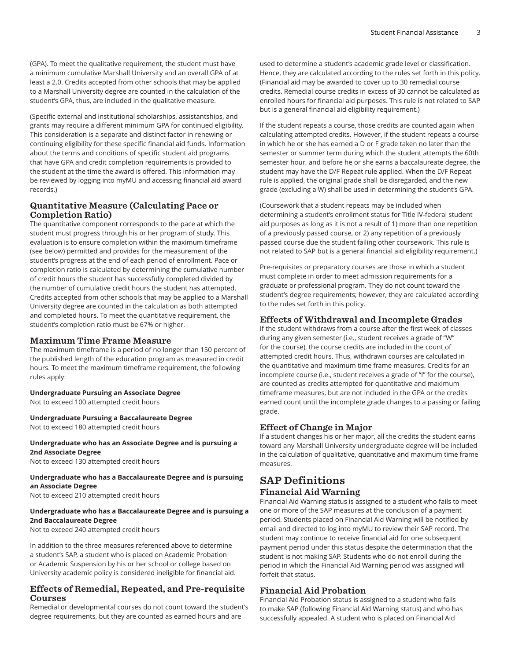(GPA). To meet the qualitative requirement, the student must have a minimum cumulative Marshall University and an overall GPA of at least a 2.0. Credits accepted from other schools that may be applied to a Marshall University degree are counted in the calculation of the student's GPA, thus, are included in the qualitative measure.

(Specific external and institutional scholarships, assistantships, and grants may require a different minimum GPA for continued eligibility. This consideration is a separate and distinct factor in renewing or continuing eligibility for these specific financial aid funds. Information about the terms and conditions of specific student aid programs that have GPA and credit completion requirements is provided to the student at the time the award is offered. This information may be reviewed by logging into myMU and accessing financial aid award records.)

#### Quantitative Measure (Calculating Pace or Completion Ratio)

The quantitative component corresponds to the pace at which the student must progress through his or her program of study. This evaluation is to ensure completion within the maximum timeframe (see below) permitted and provides for the measurement of the student's progress at the end of each period of enrollment. Pace or completion ratio is calculated by determining the cumulative number of credit hours the student has successfully completed divided by the number of cumulative credit hours the student has attempted. Credits accepted from other schools that may be applied to a Marshall University degree are counted in the calculation as both attempted and completed hours. To meet the quantitative requirement, the student's completion ratio must be 67% or higher.

#### Maximum Time Frame Measure

The maximum timeframe is a period of no longer than 150 percent of the published length of the education program as measured in credit hours. To meet the maximum timeframe requirement, the following rules apply:

#### **Undergraduate Pursuing an Associate Degree**

Not to exceed 100 attempted credit hours

**Undergraduate Pursuing a Baccalaureate Degree** Not to exceed 180 attempted credit hours

**Undergraduate who has an Associate Degree and is pursuing a 2nd Associate Degree**

Not to exceed 130 attempted credit hours

### **Undergraduate who has a Baccalaureate Degree and is pursuing an Associate Degree**

Not to exceed 210 attempted credit hours

#### **Undergraduate who has a Baccalaureate Degree and is pursuing a 2nd Baccalaureate Degree**

Not to exceed 240 attempted credit hours

In addition to the three measures referenced above to determine a student's SAP, a student who is placed on Academic Probation or Academic Suspension by his or her school or college based on University academic policy is considered ineligible for financial aid.

#### Effects of Remedial, Repeated, and Pre-requisite Courses

Remedial or developmental courses do not count toward the student's degree requirements, but they are counted as earned hours and are

used to determine a student's academic grade level or classification. Hence, they are calculated according to the rules set forth in this policy. (Financial aid may be awarded to cover up to 30 remedial course credits. Remedial course credits in excess of 30 cannot be calculated as enrolled hours for financial aid purposes. This rule is not related to SAP but is a general financial aid eligibility requirement.)

If the student repeats a course, those credits are counted again when calculating attempted credits. However, if the student repeats a course in which he or she has earned a D or F grade taken no later than the semester or summer term during which the student attempts the 60th semester hour, and before he or she earns a baccalaureate degree, the student may have the D/F Repeat rule applied. When the D/F Repeat rule is applied, the original grade shall be disregarded, and the new grade (excluding a W) shall be used in determining the student's GPA.

(Coursework that a student repeats may be included when determining a student's enrollment status for Title IV-federal student aid purposes as long as it is not a result of 1) more than one repetition of a previously passed course, or 2) any repetition of a previously passed course due the student failing other coursework. This rule is not related to SAP but is a general financial aid eligibility requirement.)

Pre-requisites or preparatory courses are those in which a student must complete in order to meet admission requirements for a graduate or professional program. They do not count toward the student's degree requirements; however, they are calculated according to the rules set forth in this policy.

#### Effects of Withdrawal and Incomplete Grades

If the student withdraws from a course after the first week of classes during any given semester (i.e., student receives a grade of "W" for the course), the course credits are included in the count of attempted credit hours. Thus, withdrawn courses are calculated in the quantitative and maximum time frame measures. Credits for an incomplete course (i.e., student receives a grade of "I" for the course), are counted as credits attempted for quantitative and maximum timeframe measures, but are not included in the GPA or the credits earned count until the incomplete grade changes to a passing or failing grade.

### Effect of Change in Major

If a student changes his or her major, all the credits the student earns toward any Marshall University undergraduate degree will be included in the calculation of qualitative, quantitative and maximum time frame measures.

### SAP Definitions Financial Aid Warning

Financial Aid Warning status is assigned to a student who fails to meet one or more of the SAP measures at the conclusion of a payment period. Students placed on Financial Aid Warning will be notified by email and directed to log into myMU to review their SAP record. The student may continue to receive financial aid for one subsequent payment period under this status despite the determination that the student is not making SAP. Students who do not enroll during the period in which the Financial Aid Warning period was assigned will forfeit that status.

### Financial Aid Probation

Financial Aid Probation status is assigned to a student who fails to make SAP (following Financial Aid Warning status) and who has successfully appealed. A student who is placed on Financial Aid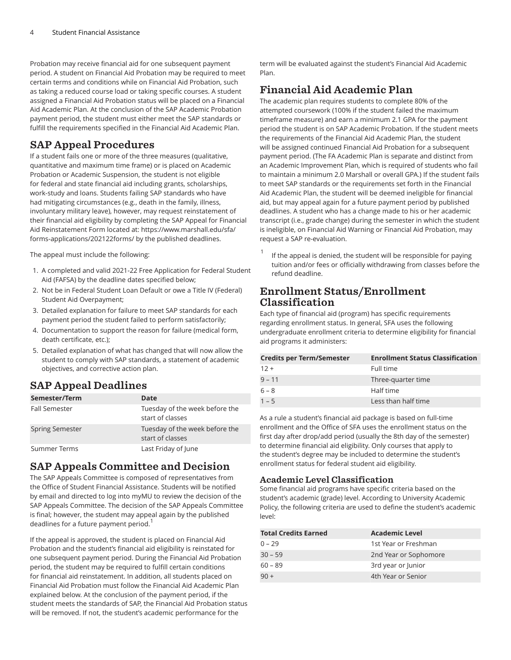Probation may receive financial aid for one subsequent payment period. A student on Financial Aid Probation may be required to meet certain terms and conditions while on Financial Aid Probation, such as taking a reduced course load or taking specific courses. A student assigned a Financial Aid Probation status will be placed on a Financial Aid Academic Plan. At the conclusion of the SAP Academic Probation payment period, the student must either meet the SAP standards or fulfill the requirements specified in the Financial Aid Academic Plan.

### SAP Appeal Procedures

If a student fails one or more of the three measures (qualitative, quantitative and maximum time frame) or is placed on Academic Probation or Academic Suspension, the student is not eligible for federal and state financial aid including grants, scholarships, work-study and loans. Students failing SAP standards who have had mitigating circumstances (e.g., death in the family, illness, involuntary military leave), however, may request reinstatement of their financial aid eligibility by completing the SAP Appeal for Financial Aid Reinstatement Form located at: [https://www.marshall.edu/sfa/](https://www.marshall.edu/sfa/forms-applications/202122forms/) [forms-applications/202122forms/](https://www.marshall.edu/sfa/forms-applications/202122forms/) by the published deadlines.

The appeal must include the following:

- 1. A completed and valid 2021-22 Free Application for Federal Student Aid (FAFSA) by the deadline dates specified below;
- 2. Not be in Federal Student Loan Default or owe a Title IV (Federal) Student Aid Overpayment;
- 3. Detailed explanation for failure to meet SAP standards for each payment period the student failed to perform satisfactorily;
- 4. Documentation to support the reason for failure (medical form, death certificate, etc.);
- 5. Detailed explanation of what has changed that will now allow the student to comply with SAP standards, a statement of academic objectives, and corrective action plan.

### SAP Appeal Deadlines

| Semester/Term          | Date                                               |
|------------------------|----------------------------------------------------|
| <b>Fall Semester</b>   | Tuesday of the week before the<br>start of classes |
| <b>Spring Semester</b> | Tuesday of the week before the<br>start of classes |
| Summer Terms           | Last Friday of June                                |

### SAP Appeals Committee and Decision

The SAP Appeals Committee is composed of representatives from the Office of Student Financial Assistance. Students will be notified by email and directed to log into myMU to review the decision of the SAP Appeals Committee. The decision of the SAP Appeals Committee is final; however, the student may appeal again by the published deadlines for a future payment period. $^{\mathrm{1}}$ 

If the appeal is approved, the student is placed on Financial Aid Probation and the student's financial aid eligibility is reinstated for one subsequent payment period. During the Financial Aid Probation period, the student may be required to fulfill certain conditions for financial aid reinstatement. In addition, all students placed on Financial Aid Probation must follow the Financial Aid Academic Plan explained below. At the conclusion of the payment period, if the student meets the standards of SAP, the Financial Aid Probation status will be removed. If not, the student's academic performance for the

term will be evaluated against the student's Financial Aid Academic Plan.

### Financial Aid Academic Plan

The academic plan requires students to complete 80% of the attempted coursework (100% if the student failed the maximum timeframe measure) and earn a minimum 2.1 GPA for the payment period the student is on SAP Academic Probation. If the student meets the requirements of the Financial Aid Academic Plan, the student will be assigned continued Financial Aid Probation for a subsequent payment period. (The FA Academic Plan is separate and distinct from an Academic Improvement Plan, which is required of students who fail to maintain a minimum 2.0 Marshall or overall GPA.) If the student fails to meet SAP standards or the requirements set forth in the Financial Aid Academic Plan, the student will be deemed ineligible for financial aid, but may appeal again for a future payment period by published deadlines. A student who has a change made to his or her academic transcript (i.e., grade change) during the semester in which the student is ineligible, on Financial Aid Warning or Financial Aid Probation, may request a SAP re-evaluation.

1 If the appeal is denied, the student will be responsible for paying tuition and/or fees or officially withdrawing from classes before the refund deadline.

### Enrollment Status/Enrollment Classification

Each type of financial aid (program) has specific requirements regarding enrollment status. In general, SFA uses the following undergraduate enrollment criteria to determine eligibility for financial aid programs it administers:

| <b>Credits per Term/Semester</b> | <b>Enrollment Status Classification</b> |
|----------------------------------|-----------------------------------------|
| $12 +$                           | Full time                               |
| $9 - 11$                         | Three-quarter time                      |
| $6 - 8$                          | Half time                               |
| $1 - 5$                          | Less than half time                     |

As a rule a student's financial aid package is based on full-time enrollment and the Office of SFA uses the enrollment status on the first day after drop/add period (usually the 8th day of the semester) to determine financial aid eligibility. Only courses that apply to the student's degree may be included to determine the student's enrollment status for federal student aid eligibility.

### Academic Level Classification

Some financial aid programs have specific criteria based on the student's academic (grade) level. According to University Academic Policy, the following criteria are used to define the student's academic level:

| <b>Total Credits Earned</b> | <b>Academic Level</b> |
|-----------------------------|-----------------------|
| $0 - 29$                    | 1st Year or Freshman  |
| $30 - 59$                   | 2nd Year or Sophomore |
| $60 - 89$                   | 3rd year or Junior    |
| $90 +$                      | 4th Year or Senior    |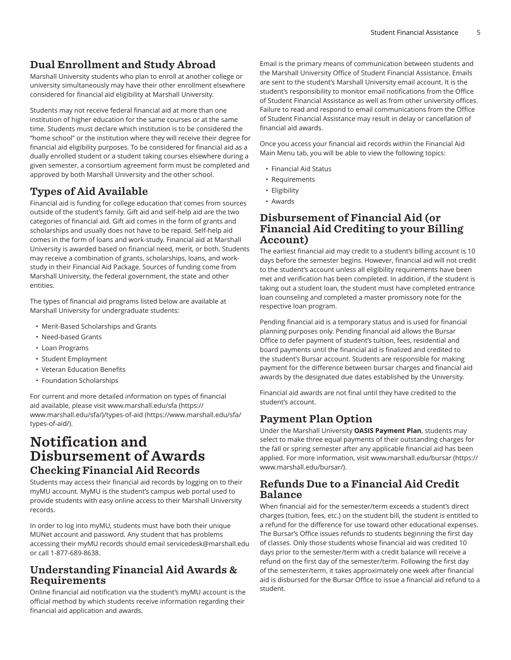### Dual Enrollment and Study Abroad

Marshall University students who plan to enroll at another college or university simultaneously may have their other enrollment elsewhere considered for financial aid eligibility at Marshall University.

Students may not receive federal financial aid at more than one institution of higher education for the same courses or at the same time. Students must declare which institution is to be considered the "home school" or the institution where they will receive their degree for financial aid eligibility purposes. To be considered for financial aid as a dually enrolled student or a student taking courses elsewhere during a given semester, a consortium agreement form must be completed and approved by both Marshall University and the other school.

# Types of Aid Available

Financial aid is funding for college education that comes from sources outside of the student's family. Gift aid and self-help aid are the two categories of financial aid. Gift aid comes in the form of grants and scholarships and usually does not have to be repaid. Self-help aid comes in the form of loans and work-study. Financial aid at Marshall University is awarded based on financial need, merit, or both. Students may receive a combination of grants, scholarships, loans, and workstudy in their Financial Aid Package. Sources of funding come from Marshall University, the federal government, the state and other entities.

The types of financial aid programs listed below are available at Marshall University for undergraduate students:

- Merit-Based Scholarships and Grants
- Need-based Grants
- Loan Programs
- Student Employment
- Veteran Education Benefits
- Foundation Scholarships

For current and more detailed information on types of financial aid available, please visit [www.marshall.edu/sfa](https://www.marshall.edu/sfa/) ([https://](https://www.marshall.edu/sfa/) [www.marshall.edu/sfa/](https://www.marshall.edu/sfa/)[\)/types-of-aid](https://www.marshall.edu/sfa/types-of-aid/) ([https://www.marshall.edu/sfa/](https://www.marshall.edu/sfa/types-of-aid/) [types-of-aid/](https://www.marshall.edu/sfa/types-of-aid/)).

## Notification and Disbursement of Awards Checking Financial Aid Records

Students may access their financial aid records by logging on to their myMU account. MyMU is the student's campus web portal used to provide students with easy online access to their Marshall University records.

In order to log into myMU, students must have both their unique MUNet account and password. Any student that has problems accessing their myMU records should email [servicedesk@marshall.edu](mailto:servicedesk@marshall.edu) or call 1-877-689-8638.

### Understanding Financial Aid Awards & Requirements

Online financial aid notification via the student's myMU account is the official method by which students receive information regarding their financial aid application and awards.

Email is the primary means of communication between students and the Marshall University Office of Student Financial Assistance. Emails are sent to the student's Marshall University email account. It is the student's responsibility to monitor email notifications from the Office of Student Financial Assistance as well as from other university offices. Failure to read and respond to email communications from the Office of Student Financial Assistance may result in delay or cancellation of financial aid awards.

Once you access your financial aid records within the Financial Aid Main Menu tab, you will be able to view the following topics:

- Financial Aid Status
- Requirements
- Eligibility
- Awards

### Disbursement of Financial Aid (or Financial Aid Crediting to your Billing Account)

The earliest financial aid may credit to a student's billing account is 10 days before the semester begins. However, financial aid will not credit to the student's account unless all eligibility requirements have been met and verification has been completed. In addition, if the student is taking out a student loan, the student must have completed entrance loan counseling and completed a master promissory note for the respective loan program.

Pending financial aid is a temporary status and is used for financial planning purposes only. Pending financial aid allows the Bursar Office to defer payment of student's tuition, fees, residential and board payments until the financial aid is finalized and credited to the student's Bursar account. Students are responsible for making payment for the difference between bursar charges and financial aid awards by the designated due dates established by the University.

Financial aid awards are not final until they have credited to the student's account.

## Payment Plan Option

Under the Marshall University **OASIS Payment Plan**, students may select to make three equal payments of their outstanding charges for the fall or spring semester after any applicable financial aid has been applied. For more information, visit [www.marshall.edu/bursar](https://www.marshall.edu/bursar/) ([https://](https://www.marshall.edu/bursar/) [www.marshall.edu/bursar/](https://www.marshall.edu/bursar/)).

### Refunds Due to a Financial Aid Credit Balance

When financial aid for the semester/term exceeds a student's direct charges (tuition, fees, etc.) on the student bill, the student is entitled to a refund for the difference for use toward other educational expenses. The Bursar's Office issues refunds to students beginning the first day of classes. Only those students whose financial aid was credited 10 days prior to the semester/term with a credit balance will receive a refund on the first day of the semester/term. Following the first day of the semester/term, it takes approximately one week after financial aid is disbursed for the Bursar Office to issue a financial aid refund to a student.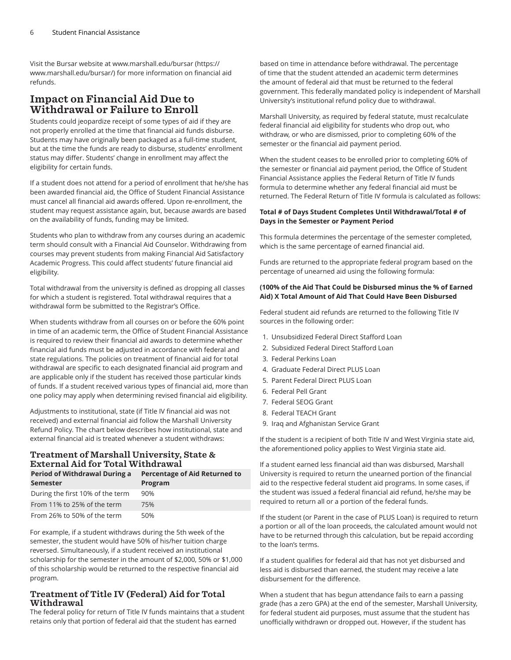Visit the Bursar website at [www.marshall.edu/bursar \(https://](https://www.marshall.edu/bursar/) [www.marshall.edu/bursar/\)](https://www.marshall.edu/bursar/) for more information on financial aid refunds.

### Impact on Financial Aid Due to Withdrawal or Failure to Enroll

Students could jeopardize receipt of some types of aid if they are not properly enrolled at the time that financial aid funds disburse. Students may have originally been packaged as a full-time student, but at the time the funds are ready to disburse, students' enrollment status may differ. Students' change in enrollment may affect the eligibility for certain funds.

If a student does not attend for a period of enrollment that he/she has been awarded financial aid, the Office of Student Financial Assistance must cancel all financial aid awards offered. Upon re-enrollment, the student may request assistance again, but, because awards are based on the availability of funds, funding may be limited.

Students who plan to withdraw from any courses during an academic term should consult with a Financial Aid Counselor. Withdrawing from courses may prevent students from making Financial Aid Satisfactory Academic Progress. This could affect students' future financial aid eligibility.

Total withdrawal from the university is defined as dropping all classes for which a student is registered. Total withdrawal requires that a withdrawal form be submitted to the Registrar's Office.

When students withdraw from all courses on or before the 60% point in time of an academic term, the Office of Student Financial Assistance is required to review their financial aid awards to determine whether financial aid funds must be adjusted in accordance with federal and state regulations. The policies on treatment of financial aid for total withdrawal are specific to each designated financial aid program and are applicable only if the student has received those particular kinds of funds. If a student received various types of financial aid, more than one policy may apply when determining revised financial aid eligibility.

Adjustments to institutional, state (if Title IV financial aid was not received) and external financial aid follow the Marshall University Refund Policy. The chart below describes how institutional, state and external financial aid is treated whenever a student withdraws:

### Treatment of Marshall University, State & External Aid for Total Withdrawal

| <b>Period of Withdrawal During a</b> | <b>Percentage of Aid Returned to</b> |
|--------------------------------------|--------------------------------------|
| Semester                             | Program                              |
| During the first 10% of the term     | 90%                                  |
| From 11% to 25% of the term          | 75%                                  |
| From 26% to 50% of the term          | 50%                                  |

For example, if a student withdraws during the 5th week of the semester, the student would have 50% of his/her tuition charge reversed. Simultaneously, if a student received an institutional scholarship for the semester in the amount of \$2,000, 50% or \$1,000 of this scholarship would be returned to the respective financial aid program.

### Treatment of Title IV (Federal) Aid for Total Withdrawal

The federal policy for return of Title IV funds maintains that a student retains only that portion of federal aid that the student has earned

based on time in attendance before withdrawal. The percentage of time that the student attended an academic term determines the amount of federal aid that must be returned to the federal government. This federally mandated policy is independent of Marshall University's institutional refund policy due to withdrawal.

Marshall University, as required by federal statute, must recalculate federal financial aid eligibility for students who drop out, who withdraw, or who are dismissed, prior to completing 60% of the semester or the financial aid payment period.

When the student ceases to be enrolled prior to completing 60% of the semester or financial aid payment period, the Office of Student Financial Assistance applies the Federal Return of Title IV funds formula to determine whether any federal financial aid must be returned. The Federal Return of Title IV formula is calculated as follows:

#### **Total # of Days Student Completes Until Withdrawal/Total # of Days in the Semester or Payment Period**

This formula determines the percentage of the semester completed, which is the same percentage of earned financial aid.

Funds are returned to the appropriate federal program based on the percentage of unearned aid using the following formula:

#### **(100% of the Aid That Could be Disbursed minus the % of Earned Aid) X Total Amount of Aid That Could Have Been Disbursed**

Federal student aid refunds are returned to the following Title IV sources in the following order:

- 1. Unsubsidized Federal Direct Stafford Loan
- 2. Subsidized Federal Direct Stafford Loan
- 3. Federal Perkins Loan
- 4. Graduate Federal Direct PLUS Loan
- 5. Parent Federal Direct PLUS Loan
- 6. Federal Pell Grant
- 7. Federal SEOG Grant
- 8. Federal TEACH Grant
- 9. Iraq and Afghanistan Service Grant

If the student is a recipient of both Title IV and West Virginia state aid, the aforementioned policy applies to West Virginia state aid.

If a student earned less financial aid than was disbursed, Marshall University is required to return the unearned portion of the financial aid to the respective federal student aid programs. In some cases, if the student was issued a federal financial aid refund, he/she may be required to return all or a portion of the federal funds.

If the student (or Parent in the case of PLUS Loan) is required to return a portion or all of the loan proceeds, the calculated amount would not have to be returned through this calculation, but be repaid according to the loan's terms.

If a student qualifies for federal aid that has not yet disbursed and less aid is disbursed than earned, the student may receive a late disbursement for the difference.

When a student that has begun attendance fails to earn a passing grade (has a zero GPA) at the end of the semester, Marshall University, for federal student aid purposes, must assume that the student has unofficially withdrawn or dropped out. However, if the student has